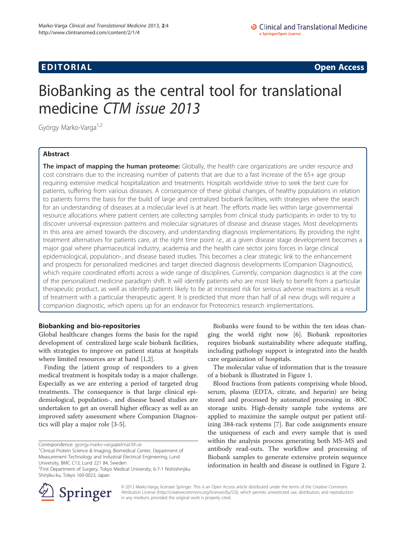# **EDITORIAL** CONTROL CONTROL CONTROL CONTROL CONTROL CONTROL CONTROL CONTROL CONTROL CONTROL CONTROL CONTROL CONTROL CONTROL CONTROL CONTROL CONTROL CONTROL CONTROL CONTROL CONTROL CONTROL CONTROL CONTROL CONTROL CONTROL CO

# BioBanking as the central tool for translational medicine CTM issue 2013

György Marko-Varga<sup>1,2</sup>

# Abstract

The impact of mapping the human proteome: Globally, the health care organizations are under resource and cost constrains due to the increasing number of patients that are due to a fast increase of the 65+ age group requiring extensive medical hospitalization and treatments. Hospitals worldwide strive to seek the best cure for patients, suffering from various diseases. A consequence of these global changes, of healthy populations in relation to patients forms the basis for the build of large and centralized biobank facilities, with strategies where the search for an understanding of diseases at a molecular level is at heart. The efforts made lies within large governmental resource allocations where patient centers are collecting samples from clinical study participants in order to try to discover universal expression patterns and molecular signatures of disease and disease stages. Most developments in this area are aimed towards the discovery, and understanding diagnosis implementations. By providing the right treatment alternatives for patients care, at the right time point i.e., at a given disease stage development becomes a major goal where pharmaceutical industry, academia and the health care sector joins forces in large clinical epidemiological, population-, and disease based studies. This becomes a clear strategic link to the enhancement and prospects for personalized medicines and target directed diagnosis developments (Companion Diagnostics), which require coordinated efforts across a wide range of disciplines. Currently, companion diagnostics is at the core of the personalized medicine paradigm shift. It will identify patients who are most likely to benefit from a particular therapeutic product, as well as identify patients likely to be at increased risk for serious adverse reactions as a result of treatment with a particular therapeutic agent. It is predicted that more than half of all new drugs will require a companion diagnostic, which opens up for an endeavor for Proteomics research implementations.

### Biobanking and bio-repositories

Global healthcare changes forms the basis for the rapid development of centralized large scale biobank facilities, with strategies to improve on patient status at hospitals where limited resources are at hand [1,2].

Finding the [atient group of responders to a given medical treatment is hospitals today is a major challenge. Especially as we are entering a period of targeted drug treatments. The consequence is that large clinical epidemiological, population-, and disease based studies are undertaken to get an overall higher efficacy as well as an improved safety assessment where Companion Diagnostics will play a major role [3-5].

Biobanks were found to be within the ten ideas changing the world right now [6]. Biobank repositories requires biobank sustainability where adequate staffing, including pathology support is integrated into the health care organization of hospitals.

The molecular value of information that is the treasure of a biobank is illustrated in Figure 1.

Blood fractions from patients comprising whole blood, serum, plasma (EDTA, citrate, and heparin) are being stored and processed by automated processing in -80C storage units. High-density sample tube systems are applied to maximize the sample output per patient utilizing 384-rack systems [7]. Bar code assignments ensure the uniqueness of each and every sample that is used within the analysis process generating both MS-MS and antibody read-outs. The workflow and processing of Biobank samples to generate extensive protein sequence information in health and disease is outlined in Figure 2.



© 2013 Marko-Varga; licensee Springer. This is an Open Access article distributed under the terms of the Creative Commons Attribution License (http://creativecommons.org/licenses/by/2.0), which permits unrestricted use, distribution, and reproduction in any medium, provided the original work is properly cited.

Correspondence: gyorgy.marko-varga@elmat.lth.se <sup>1</sup>

<sup>&</sup>lt;sup>1</sup>Clinical Protein Science & Imaging, Biomedical Center, Department of Measurement Technology and Industrial Electrical Engineering, Lund University, BMC C13, Lund 221 84, Sweden

<sup>&</sup>lt;sup>2</sup> First Department of Surgery, Tokyo Medical University, 6-7-1 Nishishinjiku Shinjiku-ku, Tokyo 160-0023, Japan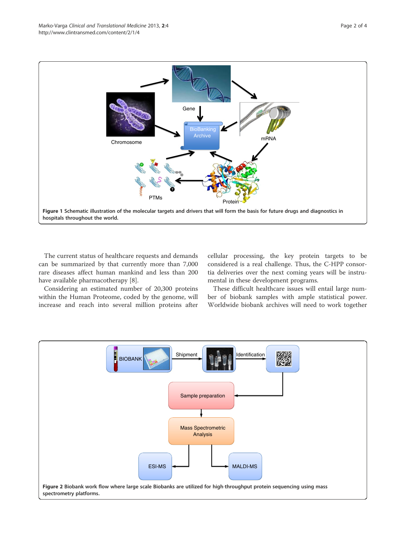

The current status of healthcare requests and demands can be summarized by that currently more than 7,000 rare diseases affect human mankind and less than 200 have available pharmacotherapy [8].

Considering an estimated number of 20,300 proteins within the Human Proteome, coded by the genome, will increase and reach into several million proteins after

cellular processing, the key protein targets to be considered is a real challenge. Thus, the C-HPP consortia deliveries over the next coming years will be instrumental in these development programs.

These difficult healthcare issues will entail large number of biobank samples with ample statistical power. Worldwide biobank archives will need to work together

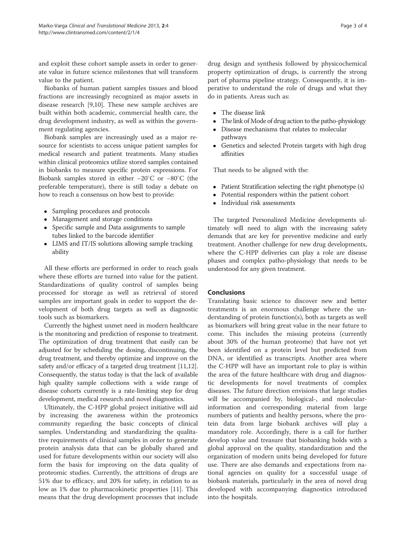and exploit these cohort sample assets in order to generate value in future science milestones that will transform value to the patient.

Biobanks of human patient samples tissues and blood fractions are increasingly recognized as major assets in disease research [9,10]. These new sample archives are built within both academic, commercial health care, the drug development industry, as well as within the government regulating agencies.

Biobank samples are increasingly used as a major resource for scientists to access unique patient samples for medical research and patient treatments. Many studies within clinical proteomics utilize stored samples contained in biobanks to measure specific protein expressions. For Biobank samples stored in either −20°C or −80°C (the preferable temperature), there is still today a debate on how to reach a consensus on how best to provide:

- Sampling procedures and protocols
- Management and storage conditions
- Specific sample and Data assignments to sample tubes linked to the barcode identifier
- LIMS and IT/IS solutions allowing sample tracking ability

All these efforts are performed in order to reach goals where these efforts are turned into value for the patient. Standardizations of quality control of samples being processed for storage as well as retrieval of stored samples are important goals in order to support the development of both drug targets as well as diagnostic tools such as biomarkers.

Currently the highest unmet need in modern healthcare is the monitoring and prediction of response to treatment. The optimization of drug treatment that easily can be adjusted for by scheduling the dosing, discontinuing, the drug treatment, and thereby optimize and improve on the safety and/or efficacy of a targeted drug treatment [11,12]. Consequently, the status today is that the lack of available high quality sample collections with a wide range of disease cohorts currently is a rate-limiting step for drug development, medical research and novel diagnostics.

Ultimately, the C-HPP global project initiative will aid by increasing the awareness within the proteomics community regarding the basic concepts of clinical samples. Understanding and standardizing the qualitative requirements of clinical samples in order to generate protein analysis data that can be globally shared and used for future developments within our society will also form the basis for improving on the data quality of proteomic studies. Currently, the attritions of drugs are 51% due to efficacy, and 20% for safety, in relation to as low as 1% due to pharmacokinetic properties [11]. This means that the drug development processes that include drug design and synthesis followed by physicochemical property optimization of drugs, is currently the strong part of pharma pipeline strategy. Consequently, it is imperative to understand the role of drugs and what they do in patients. Areas such as:

- The disease link
- The link of Mode of drug action to the patho-physiology
- Disease mechanisms that relates to molecular pathways
- Genetics and selected Protein targets with high drug affinities

That needs to be aligned with the:

- Patient Stratification selecting the right phenotype (s)
- Potential responders within the patient cohort
- Individual risk assessments

The targeted Personalized Medicine developments ultimately will need to align with the increasing safety demands that are key for preventive medicine and early treatment. Another challenge for new drug developments, where the C-HPP deliveries can play a role are disease phases and complex patho-physiology that needs to be understood for any given treatment.

#### **Conclusions**

Translating basic science to discover new and better treatments is an enormous challenge where the understanding of protein function(s), both as targets as well as biomarkers will bring great value in the near future to come. This includes the missing proteins (currently about 30% of the human proteome) that have not yet been identified on a protein level but predicted from DNA, or identified as transcripts. Another area where the C-HPP will have an important role to play is within the area of the future healthcare with drug and diagnostic developments for novel treatments of complex diseases. The future direction envisions that large studies will be accompanied by, biological-, and molecularinformation and corresponding material from large numbers of patients and healthy persons, where the protein data from large biobank archives will play a mandatory role. Accordingly, there is a call for further develop value and treasure that biobanking holds with a global approval on the quality, standardization and the organization of modern units being developed for future use. There are also demands and expectations from national agencies on quality for a successful usage of biobank materials, particularly in the area of novel drug developed with accompanying diagnostics introduced into the hospitals.